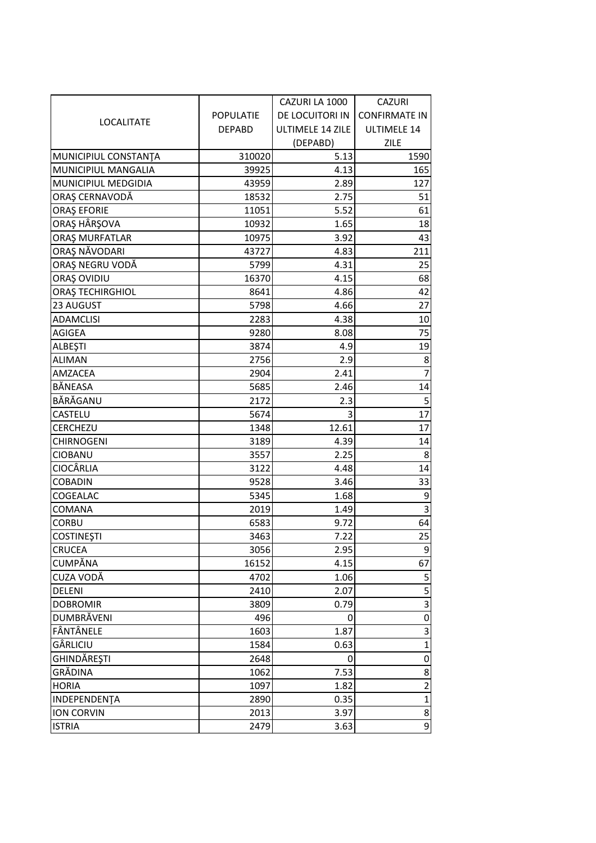| <b>LOCALITATE</b>       |                  | CAZURI LA 1000   | <b>CAZURI</b>        |
|-------------------------|------------------|------------------|----------------------|
|                         | <b>POPULATIE</b> | DE LOCUITORI IN  | <b>CONFIRMATE IN</b> |
|                         | <b>DEPABD</b>    | ULTIMELE 14 ZILE | ULTIMELE 14          |
|                         |                  | (DEPABD)         | <b>ZILE</b>          |
| MUNICIPIUL CONSTANTA    | 310020           | 5.13             | 1590                 |
| MUNICIPIUL MANGALIA     | 39925            | 4.13             | 165                  |
| MUNICIPIUL MEDGIDIA     | 43959            | 2.89             | 127                  |
| ORAȘ CERNAVODĂ          | 18532            | 2.75             | 51                   |
| <b>ORAȘ EFORIE</b>      | 11051            | 5.52             | 61                   |
| ORAȘ HÂRȘOVA            | 10932            | 1.65             | 18                   |
| ORAȘ MURFATLAR          | 10975            | 3.92             | 43                   |
| ORAȘ NĂVODARI           | 43727            | 4.83             | 211                  |
| ORAȘ NEGRU VODĂ         | 5799             | 4.31             | 25                   |
| ORAȘ OVIDIU             | 16370            | 4.15             | 68                   |
| <b>ORAȘ TECHIRGHIOL</b> | 8641             | 4.86             | 42                   |
| 23 AUGUST               | 5798             | 4.66             | 27                   |
| <b>ADAMCLISI</b>        | 2283             | 4.38             | 10                   |
| AGIGEA                  | 9280             | 8.08             | 75                   |
| <b>ALBEŞTI</b>          | 3874             | 4.9              | 19                   |
| <b>ALIMAN</b>           | 2756             | 2.9              | 8                    |
| AMZACEA                 | 2904             | 2.41             | $\overline{7}$       |
| BĂNEASA                 | 5685             | 2.46             | 14                   |
| BĂRĂGANU                | 2172             | 2.3              | 5                    |
| CASTELU                 | 5674             | 3                | 17                   |
| CERCHEZU                | 1348             | 12.61            | 17                   |
| <b>CHIRNOGENI</b>       | 3189             | 4.39             | 14                   |
| <b>CIOBANU</b>          | 3557             | 2.25             | 8                    |
| CIOCÂRLIA               | 3122             | 4.48             | 14                   |
| <b>COBADIN</b>          | 9528             | 3.46             | 33                   |
| COGEALAC                | 5345             | 1.68             | 9                    |
| COMANA                  | 2019             | 1.49             | 3                    |
| <b>CORBU</b>            | 6583             | 9.72             | 64                   |
| <b>COSTINEȘTI</b>       | 3463             | 7.22             | 25                   |
| <b>CRUCEA</b>           | 3056             | 2.95             | 9                    |
| CUMPĂNA                 | 16152            | 4.15             | 67                   |
| CUZA VODĂ               | 4702             | 1.06             | 5                    |
| <b>DELENI</b>           | 2410             | 2.07             | 5                    |
| <b>DOBROMIR</b>         | 3809             | 0.79             | 3                    |
| DUMBRĂVENI              | 496              | 0                | $\pmb{0}$            |
| FÂNTÂNELE               | 1603             | 1.87             | 3                    |
| GÂRLICIU                | 1584             | 0.63             | $\mathbf 1$          |
| GHINDĂREȘTI             | 2648             | 0                | 0                    |
| GRĂDINA                 | 1062             | 7.53             | 8                    |
| <b>HORIA</b>            | 1097             | 1.82             | $\overline{c}$       |
| INDEPENDENTA            | 2890             | 0.35             | $\mathbf 1$          |
| <b>ION CORVIN</b>       | 2013             | 3.97             | 8                    |
| <b>ISTRIA</b>           | 2479             | 3.63             | 9                    |